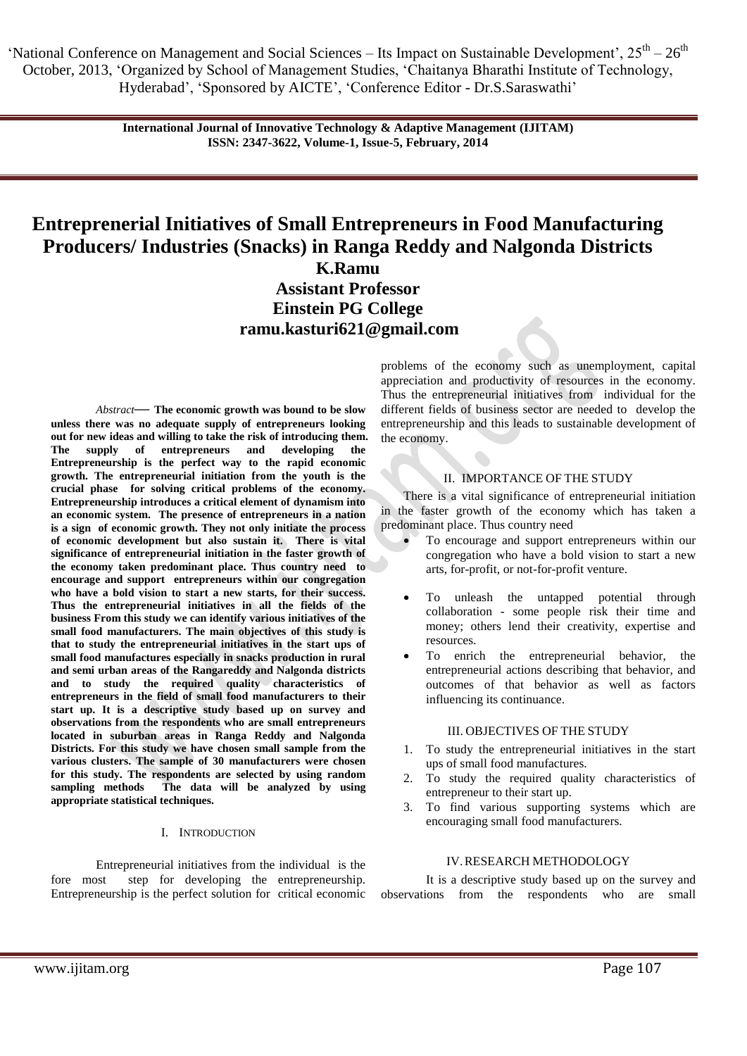'National Conference on Management and Social Sciences – Its Impact on Sustainable Development',  $25<sup>th</sup> - 26<sup>th</sup>$ October, 2013, "Organized by School of Management Studies, "Chaitanya Bharathi Institute of Technology, Hyderabad", "Sponsored by AICTE", "Conference Editor - Dr.S.Saraswathi"

> **International Journal of Innovative Technology & Adaptive Management (IJITAM) ISSN: 2347-3622, Volume-1, Issue-5, February, 2014**

# **Entreprenerial Initiatives of Small Entrepreneurs in Food Manufacturing Producers/ Industries (Snacks) in Ranga Reddy and Nalgonda Districts**

**K.Ramu**

**Assistant Professor Einstein PG College ramu.kasturi621@gmail.com** 

*Abstract***— The economic growth was bound to be slow unless there was no adequate supply of entrepreneurs looking out for new ideas and willing to take the risk of introducing them. The supply of entrepreneurs and developing the Entrepreneurship is the perfect way to the rapid economic growth. The entrepreneurial initiation from the youth is the crucial phase for solving critical problems of the economy. Entrepreneurship introduces a critical element of dynamism into an economic system. The presence of entrepreneurs in a nation is a sign of economic growth. They not only initiate the process of economic development but also sustain it. There is vital significance of entrepreneurial initiation in the faster growth of the economy taken predominant place. Thus country need to encourage and support entrepreneurs within our congregation who have a bold vision to start a new starts, for their success. Thus the entrepreneurial initiatives in all the fields of the business From this study we can identify various initiatives of the small food manufacturers. The main objectives of this study is that to study the entrepreneurial initiatives in the start ups of small food manufactures especially in snacks production in rural and semi urban areas of the Rangareddy and Nalgonda districts and to study the required quality characteristics of entrepreneurs in the field of small food manufacturers to their start up. It is a descriptive study based up on survey and observations from the respondents who are small entrepreneurs located in suburban areas in Ranga Reddy and Nalgonda Districts. For this study we have chosen small sample from the various clusters. The sample of 30 manufacturers were chosen for this study. The respondents are selected by using random sampling methods The data will be analyzed by using appropriate statistical techniques.**

## I. INTRODUCTION

Entrepreneurial initiatives from the individual is the fore most step for developing the entrepreneurship. Entrepreneurship is the perfect solution for critical economic problems of the economy such as unemployment, capital appreciation and productivity of resources in the economy. Thus the entrepreneurial initiatives from individual for the different fields of business sector are needed to develop the entrepreneurship and this leads to sustainable development of the economy.

## II. IMPORTANCE OF THE STUDY

There is a vital significance of entrepreneurial initiation in the faster growth of the economy which has taken a predominant place. Thus country need

- To encourage and support entrepreneurs within our congregation who have a bold vision to start a new arts, for-profit, or not-for-profit venture.
- To unleash the untapped potential through collaboration - some people risk their time and money; others lend their creativity, expertise and resources.
- To enrich the entrepreneurial behavior, the entrepreneurial actions describing that behavior, and outcomes of that behavior as well as factors influencing its continuance.

## III. OBJECTIVES OF THE STUDY

- 1. To study the entrepreneurial initiatives in the start ups of small food manufactures.
- 2. To study the required quality characteristics of entrepreneur to their start up.
- 3. To find various supporting systems which are encouraging small food manufacturers.

## IV.RESEARCH METHODOLOGY

It is a descriptive study based up on the survey and observations from the respondents who are small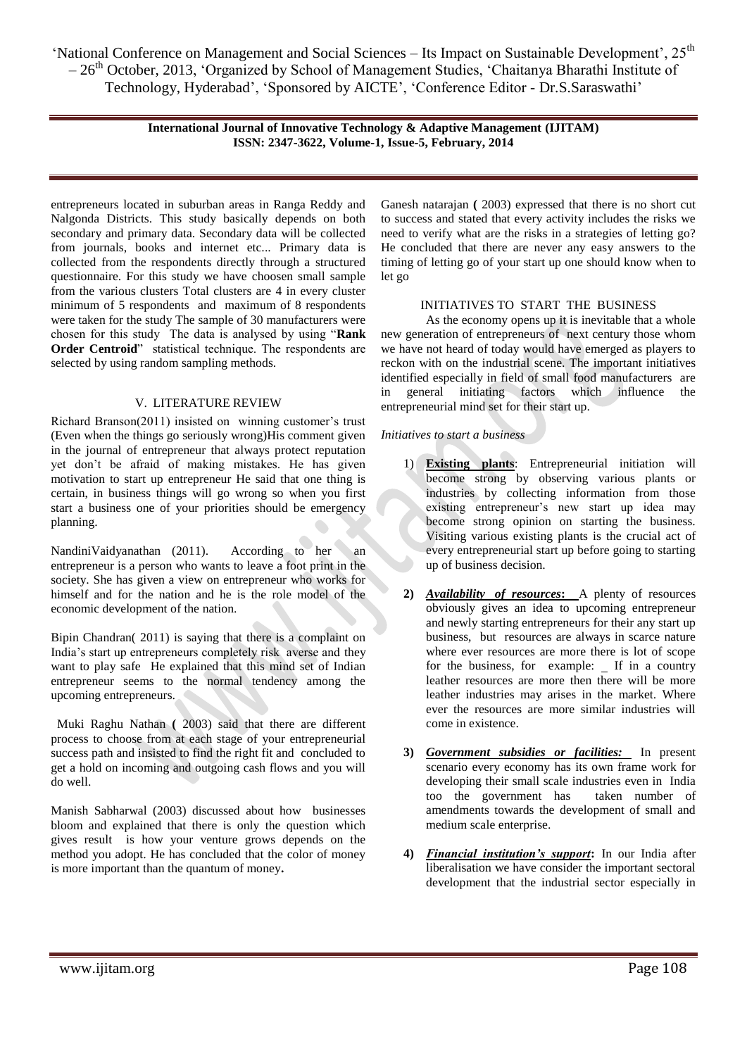'National Conference on Management and Social Sciences - Its Impact on Sustainable Development', 25<sup>th</sup> – 26<sup>th</sup> October, 2013, 'Organized by School of Management Studies, 'Chaitanya Bharathi Institute of Technology, Hyderabad', 'Sponsored by AICTE', 'Conference Editor - Dr.S.Saraswathi'

> **International Journal of Innovative Technology & Adaptive Management (IJITAM) ISSN: 2347-3622, Volume-1, Issue-5, February, 2014**

entrepreneurs located in suburban areas in Ranga Reddy and Nalgonda Districts. This study basically depends on both secondary and primary data. Secondary data will be collected from journals, books and internet etc... Primary data is collected from the respondents directly through a structured questionnaire. For this study we have choosen small sample from the various clusters Total clusters are 4 in every cluster minimum of 5 respondents and maximum of 8 respondents were taken for the study The sample of 30 manufacturers were chosen for this study The data is analysed by using "**Rank Order Centroid**" statistical technique. The respondents are selected by using random sampling methods.

## V. LITERATURE REVIEW

Richard Branson(2011) insisted on winning customer"s trust (Even when the things go seriously wrong)His comment given in the journal of entrepreneur that always protect reputation yet don"t be afraid of making mistakes. He has given motivation to start up entrepreneur He said that one thing is certain, in business things will go wrong so when you first start a business one of your priorities should be emergency planning.

NandiniVaidyanathan (2011). According to her an entrepreneur is a person who wants to leave a foot print in the society. She has given a view on entrepreneur who works for himself and for the nation and he is the role model of the economic development of the nation.

Bipin Chandran( 2011) is saying that there is a complaint on India"s start up entrepreneurs completely risk averse and they want to play safe He explained that this mind set of Indian entrepreneur seems to the normal tendency among the upcoming entrepreneurs.

 Muki Raghu Nathan **(** 2003) said that there are different process to choose from at each stage of your entrepreneurial success path and insisted to find the right fit and concluded to get a hold on incoming and outgoing cash flows and you will do well.

Manish Sabharwal (2003) discussed about how businesses bloom and explained that there is only the question which gives result is how your venture grows depends on the method you adopt. He has concluded that the color of money is more important than the quantum of money**.**

Ganesh natarajan **(** 2003) expressed that there is no short cut to success and stated that every activity includes the risks we need to verify what are the risks in a strategies of letting go? He concluded that there are never any easy answers to the timing of letting go of your start up one should know when to let go

#### INITIATIVES TO START THE BUSINESS

As the economy opens up it is inevitable that a whole new generation of entrepreneurs of next century those whom we have not heard of today would have emerged as players to reckon with on the industrial scene. The important initiatives identified especially in field of small food manufacturers are in general initiating factors which influence the entrepreneurial mind set for their start up.

## *Initiatives to start a business*

- 1) **Existing plants**: Entrepreneurial initiation will become strong by observing various plants or industries by collecting information from those existing entrepreneur's new start up idea may become strong opinion on starting the business. Visiting various existing plants is the crucial act of every entrepreneurial start up before going to starting up of business decision.
- **2)** *Availability of resources***:** A plenty of resources obviously gives an idea to upcoming entrepreneur and newly starting entrepreneurs for their any start up business, but resources are always in scarce nature where ever resources are more there is lot of scope for the business, for example: If in a country leather resources are more then there will be more leather industries may arises in the market. Where ever the resources are more similar industries will come in existence.
- **3)** *Government subsidies or facilities:* In present scenario every economy has its own frame work for developing their small scale industries even in India too the government has taken number of amendments towards the development of small and medium scale enterprise.
- **4)** *Financial institution's support***:** In our India after liberalisation we have consider the important sectoral development that the industrial sector especially in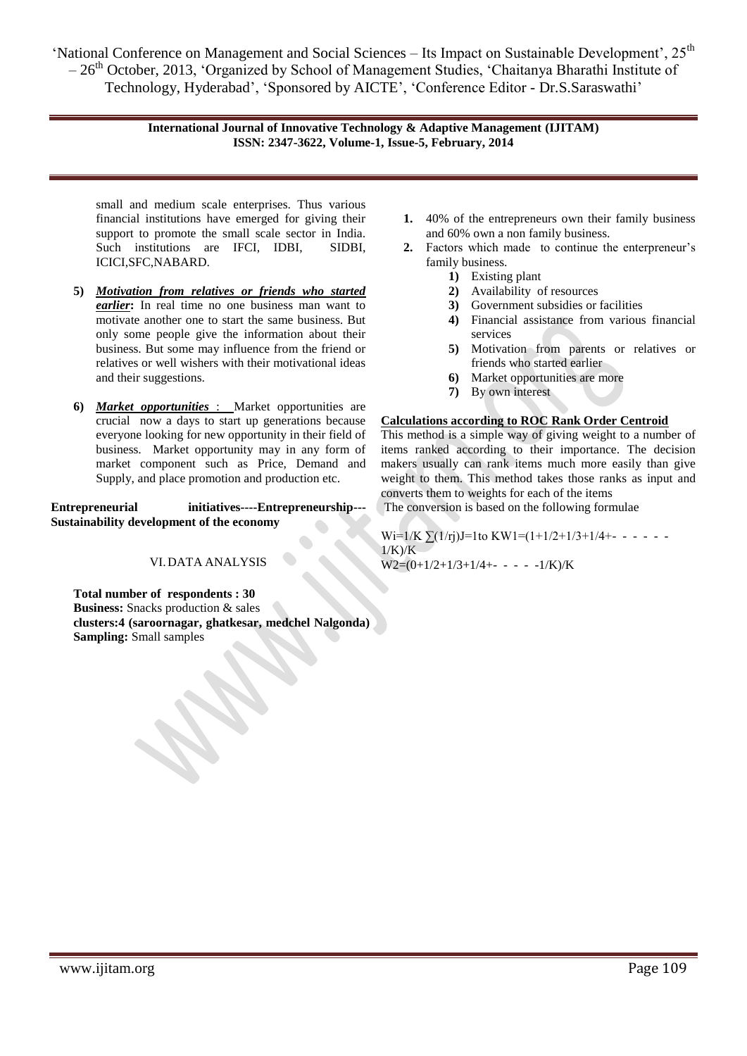'National Conference on Management and Social Sciences - Its Impact on Sustainable Development', 25<sup>th</sup>  $-26<sup>th</sup>$  October, 2013, 'Organized by School of Management Studies, 'Chaitanya Bharathi Institute of Technology, Hyderabad", "Sponsored by AICTE", "Conference Editor - Dr.S.Saraswathi"

> **International Journal of Innovative Technology & Adaptive Management (IJITAM) ISSN: 2347-3622, Volume-1, Issue-5, February, 2014**

small and medium scale enterprises. Thus various financial institutions have emerged for giving their support to promote the small scale sector in India. Such institutions are IFCI, IDBI, SIDBI, ICICI,SFC,NABARD.

- **5)** *Motivation from relatives or friends who started earlier***:** In real time no one business man want to motivate another one to start the same business. But only some people give the information about their business. But some may influence from the friend or relatives or well wishers with their motivational ideas and their suggestions.
- **6)** *Market opportunities* : Market opportunities are crucial now a days to start up generations because everyone looking for new opportunity in their field of business. Market opportunity may in any form of market component such as Price, Demand and Supply, and place promotion and production etc.

**Entrepreneurial initiatives----Entrepreneurship--- Sustainability development of the economy**

# VI.DATA ANALYSIS

**Total number of respondents : 30 Business:** Snacks production & sales **clusters:4 (saroornagar, ghatkesar, medchel Nalgonda) Sampling:** Small samples

- **1.** 40% of the entrepreneurs own their family business and 60% own a non family business.
- 2. Factors which made to continue the enterpreneur's family business.
	- **1)** Existing plant
	- **2)** Availability of resources
	- **3)** Government subsidies or facilities
	- **4)** Financial assistance from various financial services
	- **5)** Motivation from parents or relatives or friends who started earlier
	- **6)** Market opportunities are more
	- **7)** By own interest

# **Calculations according to ROC Rank Order Centroid**

This method is a simple way of giving weight to a number of items ranked according to their importance. The decision makers usually can rank items much more easily than give weight to them. This method takes those ranks as input and converts them to weights for each of the items

The conversion is based on the following formulae

Wi=1/K  $\Sigma(1/rj)$ J=1to KW1=(1+1/2+1/3+1/4+- - - - - - $1/K$ /K  $W2=(0+1/2+1/3+1/4+- - - -1/K)/K$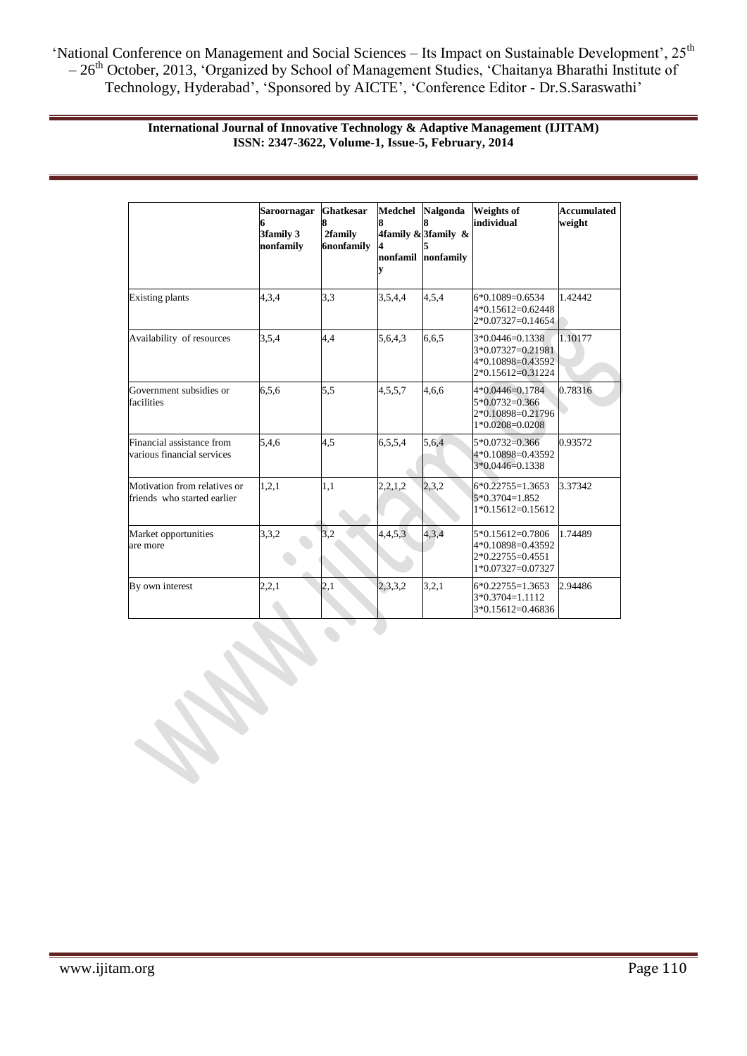'National Conference on Management and Social Sciences – Its Impact on Sustainable Development', 25<sup>th</sup> - 26<sup>th</sup> October, 2013, 'Organized by School of Management Studies, 'Chaitanya Bharathi Institute of Technology, Hyderabad', 'Sponsored by AICTE', 'Conference Editor - Dr.S.Saraswathi'

|                                                             | Saroornagar<br>3family 3<br>nonfamily | <b>Ghatkesar</b><br>2family<br><b>6</b> nonfamily | <b>Medchel</b><br>nonfamil | <b>Nalgonda</b><br>4family & 3family &<br>nonfamily | <b>Weights of</b><br>individual                                                  | <b>Accumulated</b><br>weight |
|-------------------------------------------------------------|---------------------------------------|---------------------------------------------------|----------------------------|-----------------------------------------------------|----------------------------------------------------------------------------------|------------------------------|
| <b>Existing plants</b>                                      | 4,3,4                                 | 3,3                                               | 3,5,4,4                    | 4,5,4                                               | 6*0.1089=0.6534<br>4*0.15612=0.62448<br>2*0.07327=0.14654                        | 1.42442                      |
| Availability of resources                                   | 3.5.4                                 | 4,4                                               | 5,6,4,3                    | 6,6,5                                               | 3*0.0446=0.1338<br>$3*0.07327=0.21981$<br>4*0.10898=0.43592<br>2*0.15612=0.31224 | 1.10177                      |
| Government subsidies or<br>facilities                       | 6.5.6                                 | 5.5                                               | 4,5,5,7                    | 4.6.6                                               | 4*0.0446=0.1784<br>$5*0.0732=0.366$<br>2*0.10898=0.21796<br>$1*0.0208=0.0208$    | 0.78316                      |
| Financial assistance from<br>various financial services     | 5,4,6                                 | 4.5                                               | 6,5,5,4                    | 5,6,4                                               | 5*0.0732=0.366<br>4*0.10898=0.43592<br>3*0.0446=0.1338                           | 0.93572                      |
| Motivation from relatives or<br>friends who started earlier | 1.2.1                                 | 1.1                                               | 2,2,1,2                    | 2,3,2                                               | $6*0.22755=1.3653$<br>5*0.3704=1.852<br>1*0.15612=0.15612                        | 3.37342                      |
| Market opportunities<br>are more                            | 3.3.2                                 | 3,2                                               | 4,4,5,3                    | 4,3,4                                               | 5*0.15612=0.7806<br>4*0.10898=0.43592<br>2*0.22755=0.4551<br>1*0.07327=0.07327   | 1.74489                      |
| By own interest                                             | 2,2,1                                 | 2,1                                               | 2,3,3,2                    | 3,2,1                                               | $6*0.22755=1.3653$<br>3*0.3704=1.1112<br>3*0.15612=0.46836                       | 2.94486                      |

## **International Journal of Innovative Technology & Adaptive Management (IJITAM) ISSN: 2347-3622, Volume-1, Issue-5, February, 2014**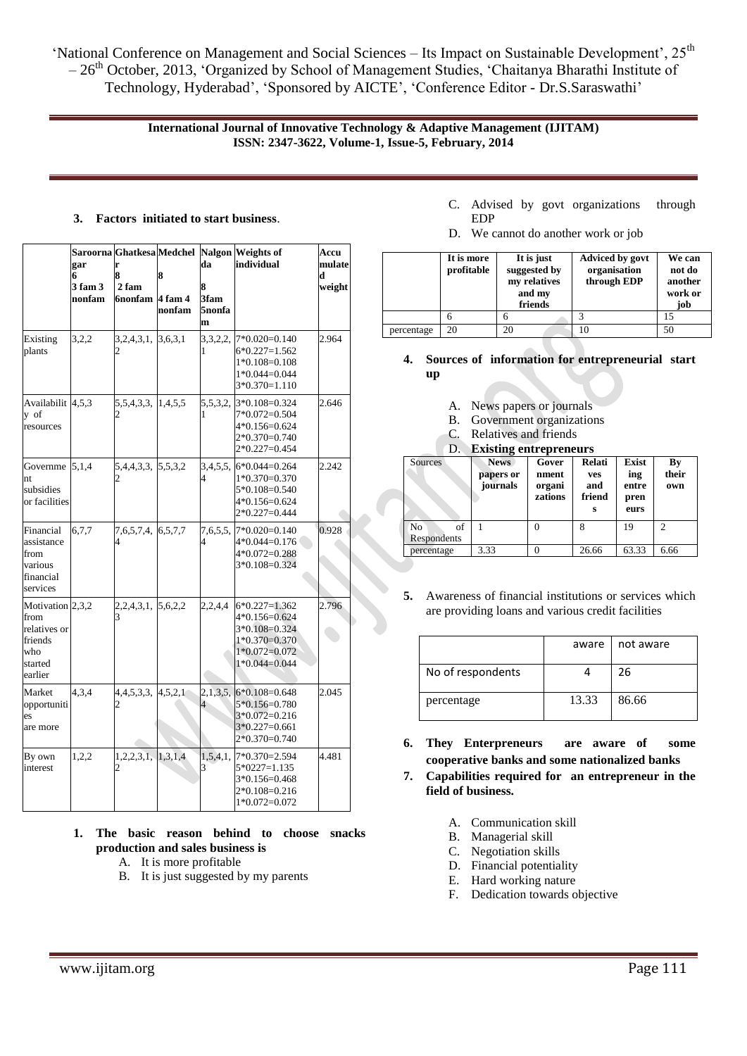'National Conference on Management and Social Sciences - Its Impact on Sustainable Development', 25<sup>th</sup>  $-26$ <sup>th</sup> October, 2013, 'Organized by School of Management Studies, 'Chaitanya Bharathi Institute of Technology, Hyderabad', 'Sponsored by AICTE', 'Conference Editor - Dr.S.Saraswathi'

## International Journal of Innovative Technology & Adaptive Management (IJITAM) ISSN: 2347-3622, Volume-1, Issue-5, February, 2014

## 3. Factors initiated to start business.

|                                                                                  | gar<br>6<br>3 fam 3<br>nonfam | Saroorna Ghatkesa Medchel<br>r<br>8<br>2 fam<br>6nonfam | 8<br>4 fam 4<br>nonfam | <b>Nalgon</b><br>da<br>8<br>3fam<br>5nonfa<br>m | <b>Weights</b> of<br>individual                                                                              | Accu<br>mulate<br>d<br>weight |
|----------------------------------------------------------------------------------|-------------------------------|---------------------------------------------------------|------------------------|-------------------------------------------------|--------------------------------------------------------------------------------------------------------------|-------------------------------|
| Existing<br>plants                                                               | 3.2.2                         | 3, 2, 4, 3, 1, 3, 6, 3, 1                               |                        | 3,3,2,2,                                        | $7*0.020=0.140$<br>$6*0.227=1.562$<br>$1*0.108=0.108$<br>1*0.044=0.044<br>$3*0.370=1.110$                    | 2.964                         |
| Availabilit 4,5,3<br>y of<br>resources                                           |                               | 5, 5, 4, 3, 3, 1, 4, 5, 5                               |                        | 5,5,3,2,                                        | $3*0.108=0.324$<br>$7*0.072=0.504$<br>4*0.156=0.624<br>2*0.370=0.740<br>2*0.227=0.454                        | 2.646                         |
| Governme $5,1,4$<br>nt<br>subsidies<br>or facilities                             |                               | 5,4,4,3,3, 5,5,3,2                                      |                        | 3,4,5,5,<br>4                                   | $6*0.044=0.264$<br>$1*0.370=0.370$<br>5*0.108=0.540<br>4*0.156=0.624<br>2*0.227=0.444                        | 2.242                         |
| Financial<br>assistance<br>from<br>various<br>financial<br>services              | 6.7.7                         | 7,6,5,7,4, 6,5,7,7                                      |                        | 7,6,5,5,<br>4                                   | $7*0.020=0.140$<br>4*0.044=0.176<br>$4*0.072=0.288$<br>$3*0.108=0.324$                                       | 0.928                         |
| Motivation 2,3,2<br>from<br>relatives or<br>friends<br>who<br>started<br>earlier |                               | 2, 2, 4, 3, 1,                                          | 5,6,2,2                | 2,2,4,4                                         | $6*0.227=1.362$<br>4*0.156=0.624<br>$3*0.108=0.324$<br>$1*0.370=0.370$<br>$1*0.072=0.072$<br>$1*0.044=0.044$ | 2.796                         |
| Market<br>opportuniti<br>es<br>are more                                          | 4,3,4                         | 4, 4, 5, 3, 3,                                          | 4,5,2,1                | 2,1,3,5,<br>$\overline{4}$                      | $6*0.108=0.648$<br>5*0.156=0.780<br>$3*0.072=0.216$<br>$3*0.227=0.661$<br>2*0.370=0.740                      | 2.045                         |
| By own<br>interest                                                               | 1,2,2                         | $1,2,2,3,1$ , $1,3,1,4$                                 |                        | 1,5,4,1,<br>3                                   | $7*0.370=2.594$<br>5*0227=1.135<br>3*0.156=0.468<br>$2*0.108=0.216$<br>$1*0.072=0.072$                       | 4.481                         |

1. The basic reason behind to choose snacks production and sales business is

- A. It is more profitable
- B. It is just suggested by my parents
- C. Advised by govt organizations through **EDP**
- D. We cannot do another work or job

|            | It is more<br>profitable | It is just<br>suggested by<br>my relatives<br>and my<br>friends | Adviced by govt<br>organisation<br>through EDP | We can<br>not do<br>another<br>work or<br>job |
|------------|--------------------------|-----------------------------------------------------------------|------------------------------------------------|-----------------------------------------------|
|            | 6                        | Ω                                                               |                                                |                                               |
| percentage | 20                       | 20                                                              | 10                                             | 50                                            |

- Sources of information for entrepreneurial start 4.  $\mathbf{u}\mathbf{p}$ 
	- A. News papers or journals
	- **B.** Government organizations
	- C. Relatives and friends
	- **D** Existing entrepreneurs

| Sources                 | <b>News</b><br>papers or<br>journals | Gover<br>nment<br>organi<br>zations | <b>Relati</b><br>ves<br>and<br>friend<br>s | <b>Exist</b><br>ing<br>entre<br>pren<br>eurs | By<br>their<br>own |
|-------------------------|--------------------------------------|-------------------------------------|--------------------------------------------|----------------------------------------------|--------------------|
| No<br>of<br>Respondents |                                      |                                     | 8                                          | 19                                           | $\mathfrak{D}$     |
| percentage              | 3.33                                 |                                     | 26.66                                      | 63.33                                        | 6.66               |

 $\overline{5}$ . Awareness of financial institutions or services which are providing loans and various credit facilities

|                   |       | aware   not aware |
|-------------------|-------|-------------------|
| No of respondents |       | 26                |
| percentage        | 13.33 | 86.66             |

6. They Enterpreneurs are aware of some cooperative banks and some nationalized banks

- 7. Capabilities required for an entrepreneur in the field of business.
	- A. Communication skill
	- Managerial skill **B.**
	- C. Negotiation skills
	- D. Financial potentiality
	- E. Hard working nature
	- F. Dedication towards objective